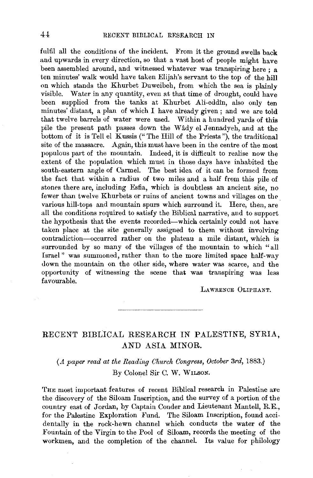fultil all the conditions of the incident. From it the ground swells back and upwards in every direction, so that a vast host of people might have been assembled around, and witnessed whatever was transpiring here ; a ten minutes' walk would have taken Elijah's servant to the top of the hill on which stands the Khurbet Duweibeh, from which the sea is plainly visible. Water in any quantity, even at that time of drought, could have been supplied from the tanks at Khurbet Ali-eddin, also only ten minutes' distant, a plan of which I have already given; and we are told that twelve barrels of water were used. Within a hundred yards of this pile the present path passes down the Wady el Jennadyeh, and at the bottom of it is Tell el Kussis (" The Hill of the Priests "), the traditional site of the massacre. Again, this must have been in the centre of the most populous part of the mountain. Indeed, it is difficult to realise now the extent of the population which must in those days have inhabited the south-eastern angle of Carmel. The best idea of it can be formed from the fact that within a radius of two miles and a half from this pile of stones there are, including Esfia, which is doubtless an ancient site, no fewer than twelve Khurbets or ruins of ancient towns and villages on the. various hill-tops and mountain spurs which surround it. Here, then, are all the conditions required to satisfy the Biblical narrative, and to support the hypothesis that the events recorded-which certainly could not have taken place at the site generally assigned to them without involving contradiction-occurred rather on the plateau a mile distant, which is surrounded by so many of the villages of the mountain to which "all Israel" was summoned, rather than to the more limited space half-way down the mountain on the other side, where water was scarce, and the opportunity of witnessing the scene that was transpiring was less favourable.

LAWRENCE 0LIPHANT.

## RECENT BIBLICAL RESEARCH IN PALESTINE, SYRIA, AND ASIA MINOR.

*(A paper read at the Reading Church Congress, October 3rd,* 1883.) By Colonel Sir C. W. WILSON.

THE most important features of recent Biblical research in Palestine are the discovery of the Siloam Inscription, and the survey of a portion of the country east of Jordan, by Captain Conder and Lieutenant Mantell, R.E., for the Palestine Exploration Fund. The Siloam Inscription, found accidentally in the rock-hewn channel which conducts the water of the Fountain of the Virgin to the Pool of Siloam, records the meeting of the workmen, and the completion of the channel. Its value for philology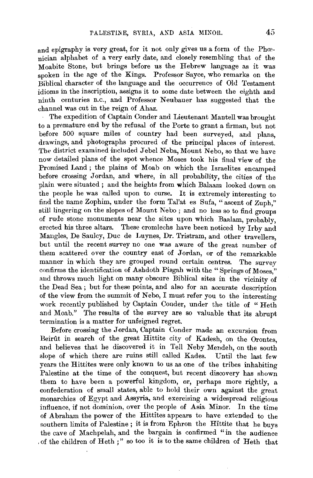and epigraphy is very great, for it not only gives us a form of the Phœnician alphabet of a very early date, and closely resembling that of the Moabite Stone, but brings before us the Hebrew language as it was spoken in the age of the Kings. Professor Sayee, who remarks on the Biblical character of the language and the occurrence of Old Testament idioms in the inscription, assigns it to some date between the eighth and ninth centuries B.c., and Professor Neubauer has suggested that the channel was cut in the reign of Ahaz.

The expedition of Captain Conder and Lieutenant Mantell was brought to a premature end by the refusal of the Porte to grant a firman, but not before 500 square miles of country had been surveyed, and plans, drawings, and photographs procured of the principal places of interest. The district examined included Jebel Neba, Mount Nebo, so that we have now detailed plans of the spot whence Moses took his final view of the Promised Land ; the plains of Moab on which the Israelites encamped before crossing Jordan, and where, in all probability, the cities of the plain were situated ; and the heights from which Balaam looked down on the people he was called upon to curse. It is extremely interesting to find the name Zophim, under the form Tal'at es Sufa, " ascent of Zuph." still lingering on the slopes of Mount Nebo; and no less so to find groups of rude stone monuments near the sites upon which Baalam, probably, erected his three altars. These cromlechs have been noticed by Irby and Mangles, De Saulcy, Due de Luynes, Dr. Tristram, and other travellers, but until the recent survey no one was aware of the great number of them scattered over the country east of Jordan, or of the remarkable manner in which they are grouped round certain centres. The survey confirms the identification of Ashdoth Pisgah with the "Springs of Moses," and throws much light on many obscure Biblical sites in the vicinity of the Dead Sea ; but for these points, and also for an accurate description of the view from the summit of Nebo, I must refer you to the interesting work recently published by Captain Conder, under the title of " Heth and Moab." The results of the survey are so valuable that its abrupt termination is a matter for unfeigned regret.

Before crossing the Jordan, Captain Conder made an excursion from Beirût in search of the great Hittite city of Kadesh, on the Orontes, and believes that he discovered it in Tell Neby Mendeh, on the south slope of which there are ruins still called Kades. Until the last few years the Hittites were only known to us as one of the tribes inhabiting Palestine at the time of the conquest, but recent discovery has shown them to have been a powerful kingdom, or, perhaps more rightly, a confederation of small states, able to hold their own against the great monarchies of Egypt and Assyria, and exercising a widespread religious influence, if not dominion, over the people of Asia Minor. In the time of Abraham the power of the Hittites appears to have extended to the southern limits of Palestine; it is from Ephron the Hittite that he buys the cave of Machpelah, and the bargain is confirmed "in the audience , of the children of Heth ; " so too it is to the same children of Heth that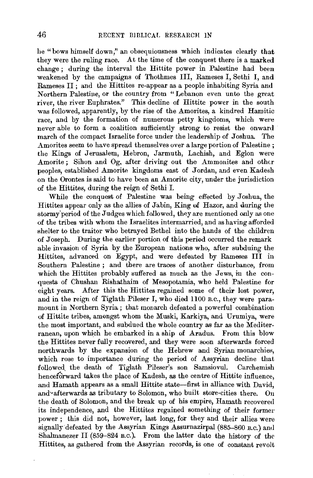he "bows himself down," an obsequiousness which indicates clearly that they were the ruling race. At the time of the conquest there is a marked change; during the interval the Hittite power in Palestine had been weakened by the campaigns of Thothmes Ill, Rameses I, Sethi I, and Rameses II ; and the Hittites re-appear as a people inhabiting Syria and Northern Palestine, or the country from "Lebanon even unto the great river, the river Euphrates." This decline of Hittite power in the south was followed, apparently, by the rise of the Amorites, a kindred Hamitic race, and by the formation of numerous petty kingdoms, which were never able to form a coalition sufficiently strong to resist the onward march of the compact Israelite force under the leadership of Joshua. The Amorites seem to have spread themselves over a large portion of Palestine ; the Kings of Jerusalem, Hebron, Jarmuth, Lachish, and Eglon were Amorite; Sihon and Og, after driving out the Ammonites and other peoples, established Amorite kingdoms east of Jordan, and even Kadesh on the Orontes is said to have been an Amorite oity, under the jurisdiction of the Hittites, during the reign of Sethi I.

While the conquest of Palestine was being effected by .Joshua, the Hittites appear only as the allies of Jabin, King of Razor, and during the stormy period of the Judges which followed, they are mentioned only as one of the tribes with whom the Israelites intermarried, and as having afforded shelter to the traitor who betrayed Bethel into the hands of the children of Joseph. During the earlier portion of this period occurred the remark able invasion of Syria by the European nations who, after subduing the Hittites, advanced on Egypt, and were defeated by Rameses  $II$  in Southern Palestine ; and there are traces of another disturbance, from which the Hittites probably suffered as much as the Jews, in the conquests of Chushan Risbathaim of Mesopotamia, who held Palestine for eight years. After this the Hittites regained some of their lost power, and in the reign of Tiglath Pileser I, who died 1100 B.c., they were paramount in Northern Syria; that monarch defeated a powerful combination of Hittite tribes, amongst whom the Muski, Karkiya, and Urumiya, were the most important, and subdued the whole country as far as the Mediterranean, upon which he embarked in a ship of Aradus. From this blow the Hittites never fully recovered, and they were soon afterwards forced northwards by the expansion of the Hebrew and Syrian monarchies, which rose to importance during the period of Assyrian decline that followed the death of Tiglath Pileser's son Samsiovul. Carchemish henceforward takes the place of Kadesh, as the centre of Hittite influence, and Hamath appears as a small Hittite state-first in alliance with David, and afterwards as tributary to Solomon, who built store-cities there. On the death of Solomon, and the break up of his empire, Hamath recovered its independence, and the Hittites regained something of their former power ; this did not, however, last long, for they and their allies were signally defeated by the Assyrian Kings Assurnazirpal (885-860 B.c.) and Shalmanezer II (859-824 B.c.). From the latter date the history of the Hittites, as gathered from the Assyrian records, is one of constant revolt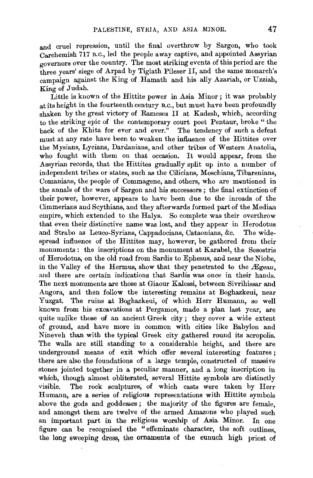and cruel repression, until the final overthrow by Sargon, who took Carchemish 717 B.c., led the people away captive, and appointed Assyrian governors over the country. The most striking events of this period are the three years' siege of Arpad by Tiglath Pileser II, and the same monarch's campaign against the King of Hamath and his ally Azariah, or Uzziah, King of Judah.

Little is known of the Hittite power in Asia Minor; it was probably at its height in the fourteenth century B. c., but must have been profoundly shaken by the great victory of Rameses II at Kadesh, which, according to the striking epic of the contemporary court poet Pentaur, broke "the back of the Khita for ever and ever." The tendency of such a defeat must at any rate have been to weaken the influence of the Hittites over the Mysians, Lycians, Dardanians, and other tiibes of Western Anatolia, who fought with them on that occasion. It would appear, from the Assyrian records, that the Hittites gradually split up into a number of independent tribes or states, such as the Cilicians, Moschians, Tibarenians, Comanians, the people of Commagene, and others, who are mentioned in the annals of the wars of Sargon and his successors ; the final extinction of their power, however, appears to have been due to the inroads of the Cimmerians and Scythians, and they afterwards formed part of the Median empire, which extended to the Halys. So complete was their overthrow that even their distinctive name was lost, and they appear in Herodotus and Strabo as Leuco-Syrians, Cappadocians, Cataonians, &c. The widespread influence of the Hittites may, however, be gathered from their monuments : the inscriptions on the monument at Karabel, the Sesostris of Herodotus, on the old road from Sardis to Ephesus, and near the Niobe, in the Valley of the Hermus, show that they penetrated to the  $E$ gean, and there are certain indications that Sardis was once in their hands. The next monuments are those at Giaour Kalessi, between Sivrihissar and Angora, and then follow the interesting remains at Boghazkeui, near Yuzgat. The ruins at Boghazkeui, of which Herr Humann, so well known from his excavations at Pergamos, made a plan last year, are quite unlike those of an ancient Greek city; they cover a wide extent of ground, and have more in common with cities like Babylon and Nineveh than with the typical Greek city gathered round its acropolis. The walls are still standing to a considerable height, and there are underground means of exit which offer several interesting features; there are also the foundations of a large temple, constructed of massive stones jointed together in a peculiar manner, and a long inscription in which, though almost obliterated, several Hittite symbols are distinctly visible. The rock sculptures; of which casts were taken by Herr Humann, are a series of religious representations with Hittite symbols above the gods and goddesses; the majority of the figures are female, and amongst them are twelve of the armed Amazons who played such an important part in the religious worship of Asia Minor. In one figure can be recognised the "effeminate character, the soft outlines, the long sweeping dress, the ornaments of the eunuch high priest of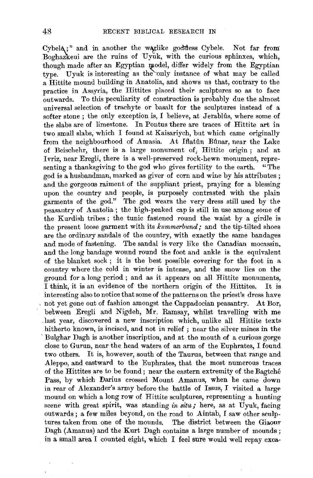Cybeld;" and in another the waglike goddess Cybele. Not far from Boghaz'keui are the ruins of Uyuk, with the curious sphinxes, which, though made after an Egyptian model, differ widely from the Egyptian type. Uyuk is interesting as the only instance of what may be called a Hittite mound building in Anatolia, and shows us that, contrary to the practice in Assyria, the Hittites placed their sculptures so as to face outwards. To this peculiarity of construction is probably due the almost universal selection of trachyte or basalt for the sculptures instead of a softer stone ; the only exception is, I believe, at Jerablûs, where some of the slabs are of limestone. In Pontus there are traces of Hittite art in two small slabs, which I found at Kaisariych, but which came originally from the neighbourhood of Amasia. At Iflatûn Bûnar, near the Lake of Beischehr, there is a large monument of Hittite origin; and at Ivriz, near Eregli, there is a well-preserved rock-hewn monument, representing a thanksgiving to the god who gives fertility to the earth. "The god is a husbandman, marked as giver of corn and wine by his attributes ; and the gorgeous raiment of the suppliant priest, praying for a blessing upon the country and people, is purposely contrasted with the plain garments of the god." The god wears the very dress still used by the peasantry of Anatolia; the high-peaked cap is still in use among some of the Kurdish tribes ; the tunic fastened round the waist by a girdle is the present loose garment with its *kummerbund*; and the tip-tilted shoes are the ordinary sandals of the country, with exactly the same bandages and mode of fastening. The sandal is very like the Canadian mocassin, and the long bandage wound round the foot and ankle is the equivalent of the blanket sock ; it is the best possible covering for the foot in a country where the cold in winter is intense, and the snow lies on the ground for a long period ; and as it appears on all Hittite monuments, I think, it is an evidence of the northern origin of the Hittites. It is interesting also to notice that some of the patterns on the priest's dress have not yet gone out of fashion amongst the Cappadocian peasantry. At Bor, between Eregli and Nigdeh, Mr. Ramsay, whilst travelling with me Jast year, discovered a new inscription which, unlike all Hittite texts hitherto known, is incised, and not in relief ; near the silver mines in the ' Bulghar Dagh is another inscription, and at the mouth of a curious gorge close to Gurun, near the head waters of an arm of the Euphrates, I found two others. It is, however, south of the Taurus, between that range and Aleppo, and eastward to the Euphrates, that the most numerous traces of the Hittites are to be found; near the eastern extremity of the Bagtche Pass, by which Darius crossed Mount Amanus, when he came down in rear of Alexander's army before the battle of Issus, I visited a large mound on which a long row of Hittite sculptures, representing a hunting scene with great spirit, was standing *in situ;* here, as at Uyuk, facing outwards; a few miles beyond, on the road to Aintab, I saw other sculptures taken from one of the mounds. The district between the Giaour Dagh (Amanus) and the Kurt Dagh contains a large number of mounds; in a small area I counted eight, which I feel sure would well repay exca-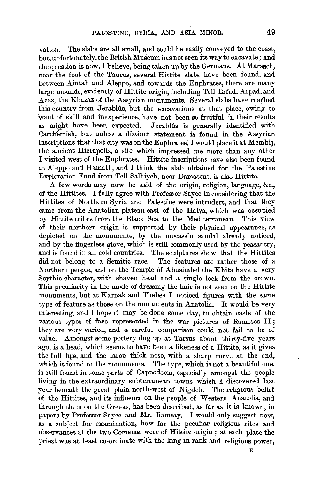vation. The slabs are all small, and could be easily conveyed to the coast, but, unfortunately, the British Museum has not seen its way to excavate; and the question is now, I believe, being taken up by the Germans. At Marasch, near the foot of the Taurus, several Hittite slabs have been found, and between Aintab and Aleppo, and towards the Euphrates, there are many large mounds, evidently of Hittite origin, including Tell Erfad, Arpad, and Azaz, the Khazaz of the Assyrian monuments. Several slabs have reached this country from Jerablûs, but the excavations at that place, owing to want of skill and inexperience, have not been so fruitful in their results as might have been expected. Jerablûs is generally identified with Carchémish, but unless a distinct statement is found in the Assyrian inscriptions that that city was on the Euphrates, I would place it at Membij, the ancient Hierapolis, a site which impressed me more than any other I visited west of the Euphrates. Hittite inscriptions have also been found at Aleppo and Hamath, and I think the slab obtained for the Palestine Exploration Fund from Tell Salhiych, near Damascus, is also Hittite.

A few words may now be said of the origin, religion, language, &c., of the Hittites. I fully agree with Professor Sayee in considering that the Hittites of Northern Syria and Palestine were intruders, and that they came from the Anatolian plateau east of the Halys, which was occupied by Hittite tribes from the Black Sea to the Mediterranean. This view of their northern origin is supported by their physical appearance, as depicted on the monuments, by the mocassin sandal already noticed, and by the fingerless glove, which is still commonly used by the peasantry, and is found in all cold countries. The sculptures show that the Hittites did not belong to a Semitic race. The features are rather those of a Northern people, and on the Temple of Abusimbel the Khita have a very Scythic character, with shaven head and a single lock from the crown. This peculiarity in the mode of dressing the hair is not seen on the Hittite monuments, but at Karnak and Thebes I noticed figures with the same type of feature as those on the monuments in Anatolia. It would be very interesting, and I hope it may be done some day, to obtain casts of the various types of face represented in the war pictures of Rameses 11 ; they are very varied, and a careful comparison could not fail to be of value. Amongst some pottery dug up at Tarsus about thirty-five years ago, is a head, which seems to have been a likeness of a Hittite, as it gives the full lips, and the large thick nose, with a sharp curve at the end, which is found on the monuments. The type, which is not a beautiful one, is still found in some parts of Cappodocia, especially amongst the people living in the extraordinary subterranean towns which I discovered last year beneath the great plain north-west of Nigdeh. The religious belief of the Hittites, and its influence on the people of Western Anatolia, and through them on the Greeks, has been described, as far as it is known, in papers by Professor Sayee and Mr. Ramsay. I would only suggest now, as a subject for examination, how far the peculiar religious rites and observances at the two Comanas were of Hittite origin ; at each place the priest was at least co-ordinate with the king in rank and religious power,

E